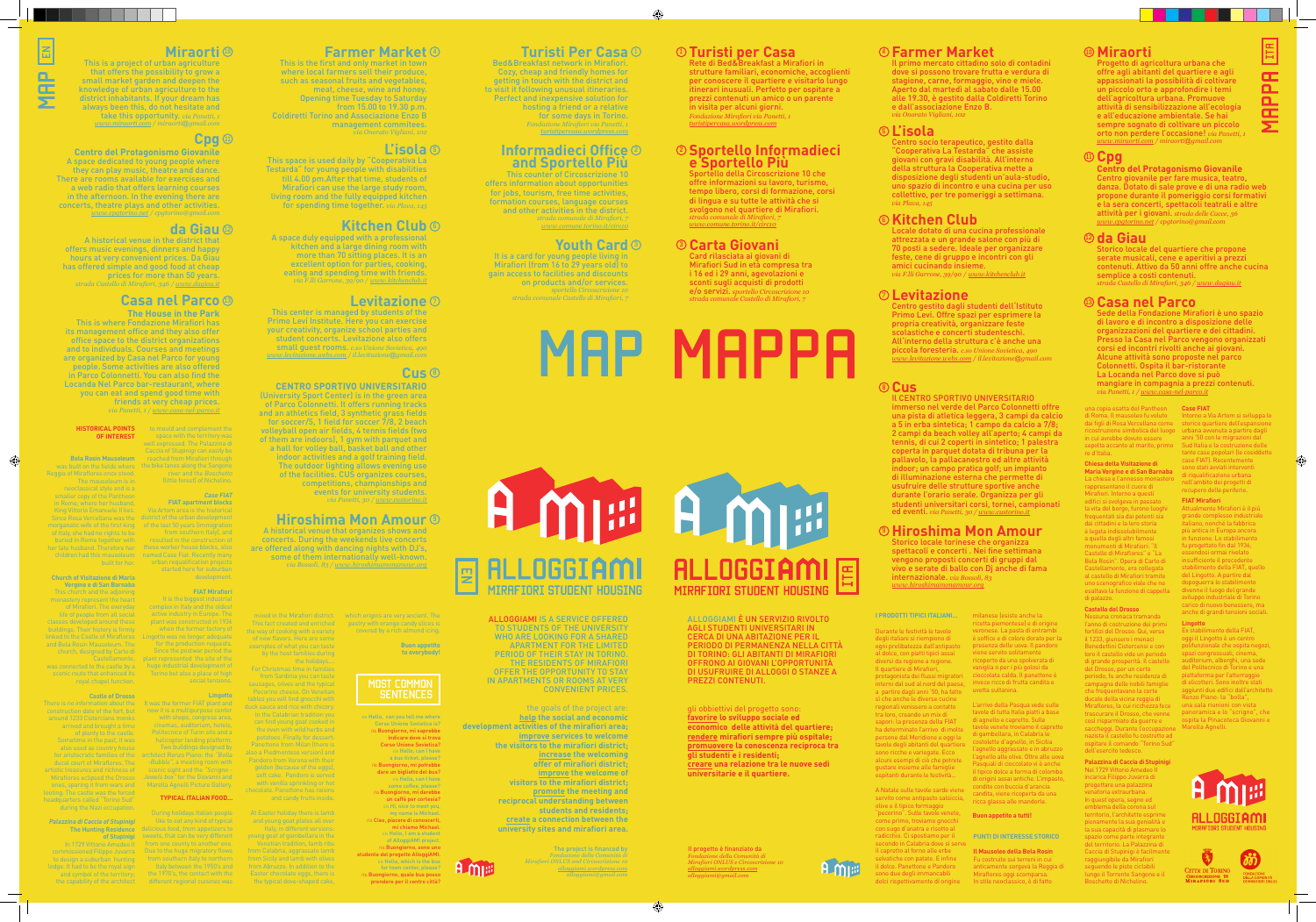milanese (esiste anche la ricetta piemontese) e di origir veronese. La pasta di entrambi è soffice e di colore dorato per la presenza delle uova. Il pandoro viene servito solitamente<br>viene servito solitamente<br>ricoperto da una spolverata di ricoperto da una spolverata di vaniglia o per i più golosi da cioccolata calda. Il panettone è invece ricco di frutta candita e uvetta sultanina.

L'arrivo della Pasqua vede sulle tavole di tutta Italia piatti a base di agnello e capretto. Sulle tavole venete troviamo il capretto di gambellara, in Calabria le costolette d'agnello, in Sicilia l'agnello aggrassato e in abruzzo l'agnello alle olive. Oltre alle uova Pasquali di cioccolato vi è anche il tipico dolce a forma di colomba di origini assai antiche. L'impasto, condito con buccia d'arancia candita, viene ricoperta da una ricca glassa alle mandorle.

**Buon appetito a tutti!**

ALLOGGIAMI È UN SERVIZIO RIVOLTO AGLI STUDENTI UNIVERSITARI IN CERCA DI UNA ABITAZIONE PER IL PERIODO DI PERMANENZA NELLA CITTÀ DI TORINO: GLI ABITANTI DI MIRAFIORI OFFRONO AI GIOVANI L'OPPORTUNITÀ DI USUFRUIRE DI ALLOGGI O STANZE A PREZZI CONTENUTI.

gli obbiettivi del progetto sono: **favorire lo sviluppo sociale ed economico delle attività del quartiere; rendere mirafiori sempre più ospitale; promuovere la conoscenza reciproca tra gli studenti e i residenti; creare una relazione tra le nuove sedi universitarie e il quartiere.**

ALLOGGIAMI IS A SERVICE OFFERED TO STUDENTS OF THE UNIVERSITY WHO ARE LOOKING FOR A SHARED APARTMENT FOR THE LIMITED PERIOD OF THEIR STAY IN TORINO. THE RESIDENTS OF MIRAFIORI OFFER THE OPPORTUNITY TO STAY IN APARTMENTS OR ROOMS AT VERY CONVENIENT PRICES.

the goals of the project are: **help the social and economic development activities of the mirafiori area; improve services to welcome the visitors to the mirafiori district; increase the welcoming offer of mirafiori district; improve the welcome of visitors to the mirafiori district; promote the meeting and reciprocal understanding between students and residents; create a connection between the university sites and mirafiori area.**

## ⊕

#### <sup>1</sup> **Turisti per Casa**

Rete di Bed&Breakfast a Mirafiori in strutture familiari, economiche, accoglienti per conoscere il quartiere e visitarlo lungo itinerari inusuali. Perfetto per ospitare a prezzi contenuti un amico o un parente in visita per alcuni giorni. *Fondazione Mirafiori via Panetti, 1 turistipercasa.wordpress.com*

#### <sup>3</sup> **Carta Giovani**

Card rilasciata ai giovani di Mirafiori Sud in età compresa tra i 16 ed i 29 anni, agevolazioni e sconti sugli acquisti di prodotti e/o servizi. *sportello Circoscrizione 10 strada comunale Castello di Mirafiori, 7*

# MAP MAPPA



It is a card for young people living in Mirafiori (from 16 to 29 years old) to gain access to facilities and discounts on products and/or services. *sportello Circoscrizione 10 strada comunale Castello di Mirafiori, 7*



Bed&Breakfast network in Mirafiori. Cozy, cheap and friendly homes for getting in touch with the district and to visit it following unusual itineraries. Perfect and inexpensive solution for hosting a friend or a relative for some days in Torino. *Fondazione Mirafiori via Panetti, 1 turistipercasa.wordpress.com* management commitees. *via Onorato Vigliani, 102* <sup>5</sup> **L'isola**

## <sup>4</sup> **Farmer Market**

Il primo mercato cittadino solo di contadini dove si possono trovare frutta e verdura di stagione, carne, formaggio, vino e miele. Aperto dal martedì al sabato dalle 15.00 alle 19.30, è gestito dalla Coldiretti Torino e dall'associazione Enzo B. *via Onorato Vigliani, 102*

ede della Fondazione Mirafiori è uno spazio di lavoro e di incontro a disposizione delle organizzazioni del quartiere e dei cittadini. Presso la Casa nel Parco vengono organizzati corsi ed incontri rivolti anche ai giovani. Alcune attività sono proposte nel parco Colonnetti. Ospita il bar-ristorante La Locanda nel Parco dove si può mangiare in compagnia a prezzi contenuti. *via Panetti, 1 / www.casa-nel-parco.it*

This is the first and only market in town where local farmers sell their produce, such as seasonal fruits and vegetables, meat, cheese, wine and honey. Opening time Tuesday to Saturday from 15.00 to 19.30 p.m. Coldiretti Torino and Associazione Enzo B

> Centro socio terapeutico, gestito dalla "Cooperativa La Testarda" che assiste giovani con gravi disabilità. All'interno della struttura la Cooperativa mette a disposizione degli studenti un'aula-studio, uno spazio di incontro e una cucina per uso collettivo, per tre pomeriggi a settimana. *via Plava, 145*

#### **L'isola** <sup>5</sup>

This space is used daily by "Cooperativa La Testarda" for young people with disabilities till 4.00 pm.After that time, students of Mirafiori can use the large study room, living room and the fully equipped kitchen for spending time together. *via Plava, 145*

#### <sup>10</sup> **Miraorti**

Progetto di agricoltura urbana che offre agli abitanti del quartiere e agli appassionati la possibilità di coltivare un piccolo orto e approfondire i temi dell'agricoltura urbana. Promuove attività di sensibilizzazione all'ecologia e all'educazione ambientale. Se hai sempre sognato di coltivare un piccolo orto non perdere l'occasione! *via Panetti, 1 www.miraorti.com / miraorti@gmail.com*



# $@$  Cpg

### <sup>6</sup> **Kitchen Club**

Locale dotato di una cucina professionale attrezzata e un grande salone con più di 70 posti a sedere. Ideale per organizzare feste, cene di gruppo e incontri con gli amici cucinando insieme. *via F.lli Garrone, 39/90 / www.kitchenclub.it*

#### **Kitchen Club** <sup>6</sup>

A space duly equipped with a professional kitchen and a large dining room with more than 70 sitting places. It is an excellent option for parties, cooking, eating and spending time with friends. *via F.lli Garrone, 39/90 / www.kitchenclub.it*

#### **Levitazione**  $\oslash$

There is no information about the construction date of the fort, but around 1233 Cistercians monks arrived and brought a time of plenty to the castle. Sometime in the past, it was also used as country house for aristocratic families of the ducal court of Miraflores. The artistic treasures and richness of Miraflores eclipsed the Drosso ones, sparing it from wars and looting. The castle was the forced headquarters called "Torino Sud during the Nazi occupation.

**Centro del Protagonismo Giovanile** Centro giovanile per fare musica, teatro, danza. Dotato di sale prove e di una radio web propone durante il pomeriggio corsi formativi e la sera concerti, spettacoli teatrali e altre attività per i giovani. *strada delle Cacce, 36 www.cpgtorino.net / cpgtorino@gmail.com*

#### <sup>12</sup> **da Giau**

Storico locale del quartiere che propone serate musicali, cene e aperitivi a prezzi contenuti. Attivo da 50 anni offre anche cucina semplice a costi contenuti. *strada Castello di Mirafiori, 346 / www.dagiau.it*

#### <sup>7</sup> **Levitazione**

Centro gestito dagli studenti dell'Istituto Primo Levi. Offre spazi per esprimere la propria creatività, organizzare feste scolastiche e concerti studenteschi. All'interno della struttura c'è anche una piccola foresteria. *c.so Unione Sovietica, 490 www.levitazione.webs.com / il.levitazione@gmail.com*

> Intorno a Via Artom si sviluppa lo storico quartiere dell'espansione urbana avvenuta a partire dagli anni '50 con le migrazioni dal Sud Italia e la costruzione delle tante case popolari (le cosiddette case FIAT). Recentemente sono stati avviati interventi di riqualificazione urbana nell'ambito dei progetti di recupero delle periferie.

This center is managed by students of the Primo Levi Institute. Here you can exercise your creativity, organize school parties and student concerts. Levitazione also offers small guest rooms. *c.so Unione Sovietica, 490 www.levitazione.webs.com / il.levitazione@gmail.com*

## <sup>13</sup> **Casa nel Parco**

to mould and complement the space with the territory was well expressed. The Palazzina di  $\overline{\text{accia}}$  of Stupinigi can easily be ached from Mirafiori through the bike lanes along the Sangone river and the Boschetto **Ilittle forest) of Nichelino** 

## <sup>9</sup> **Hiroshima Mon Amour**

**FIAT Mirafiori** It is the biggest industrial

Storico locale torinese che organizza spettacoli e concerti . Nei fine settimana vengono proposti concerti di gruppi dal vivo e serate di ballo con Dj anche di fama internazionale. *via Bossoli, 83 www.hiroshimamonamour.org*

#### **Hiroshima Mon Amour** <sup>9</sup>

complex in Italy and the oldest active industry in Europe. plant was constructed in 1936 when the former factory of **Lingotto was no longer adequate** for the production requests. Since the postwar period the plant represented the site of the huge industrial development of

> social tensions **Lingotto**

A historical venue that organizes shows and concerts. During the weekends live concerts are offered along with dancing nights with DJ's, some of them internationally well-known. *via Bossoli, 83 / www.hiroshimamonamour.org*

# <sup>8</sup> **Cus**

Il CENTRO SPORTIVO UNIVERSITARIO immerso nel verde del Parco Colonnetti offre una pista di atletica leggera, 3 campi da calcio a 5 in erba sintetica; 1 campo da calcio a 7/8; 2 campi da beach volley all'aperto; 4 campi da tennis, di cui 2 coperti in sintetico; 1 palestra coperta in parquet dotata di tribuna per la pallavolo, la pallacanestro ed altre attività indoor; un campo pratica golf; un impianto di illuminazione esterna che permette di usufruire delle strutture sportive anche durante l'orario serale. Organizza per gli studenti universitari corsi, tornei, campionati ed eventi. *via Panetti, 30 / www.custorino.it*

#### **Casa nel Parco** ® **The House in the Park**

#### **Cus** <sup>8</sup>

**CENTRO SPORTIVO UNIVERSITARIO** (University Sport Center) is in the green area of Parco Colonnetti. It offers running tracks and an athletics field, 3 synthetic grass fields for soccer/5, 1 field for soccer 7/8, 2 beach volleyball open air fields, 4 tennis fields (two of them are indoors), 1 gym with parquet and a hall for volley ball, basket ball and other indoor activities and a golf training field. The outdoor lighting allows evening use of the facilities. CUS organizes courses, competitions, championships and events for university students. *via Panetti, 30 / www.custorino.it*

#### **I PRODOTTI TIPICI ITALIANI...**

## MOST COMMON **SENTENCES**

Durante le festività le tavole degli italiani si riempiono di ogni prelibatezza dall'antipasto al dolce, con piatti tipici assai diversi da regione a regione. Il quartiere di Mirafiori, protagonista dei flussi migratori interni dal sud al nord del paese, a partire dagli anni '50, ha fatto sì che anche le diverse cucine regionali venissero a contatto tra loro, creando un mix di sapori: la presenza della FIAT ha determinato l'arrivo di molte persone dal Meridione e oggi le tavole degli abitanti del quartiere sono ricche e variegate. Ecco alcuni esempi di ciò che potrete gustare insieme alle famiglie ospitanti durante le festività...

 $\epsilon$ n Hello, can you tell me where Corso Unione Sovietica is? ita Buongiorno, mi saprebbe indicare dove si trova Corso Unione Sovietica? en Hello, can I have a bus ticket, please ita Buongiorno, mi potrebbe dare un biglietto del bus? en Hello, can I have some coffee, please? ita Buongiorno, mi darebbe un caffè per cortesia? EN Hi, nice to meet you my name is Michael. ita Ciao, piacere di conoscerti, mi chiamo Michael. en Hello, I am a student of AlloggiAMI project. ita Buongiorno, sono uno studente del progetto AlloggiAMI. en Hello, which is the bus for town center, please? ita Buongiorno, quale bus posso

A Natale sulle tavole sarde viene servito come antipasto salsiccia, olive e il tipico formaggio 'pecorino". Sulle tavole vene come primo, troviamo gnocchi con sugo d'anatra e risotto al radicchio. Ci spostiamo per il secondo in Calabria dove si serve il capretto al forno alle erbe lvatiche con patate. E inf il dolce. Panettone e Pandoro iono due degli immancabi dolci rispettivamente di origine

#### **PUNTI DI INTERESSE STORICO**

**Il Mausoleo della Bela Rosin** Fu costruito sui terreni in cui anticamente sorgeva la Reggia di Miraflores oggi scomparsa. In stile neoclassico, è di fatto

# **HISTORICAL POINTS OF INTEREST Bela Rosin Mausoleum**

#### **Church of Visitazione di Maria Vergine e di San Barnaba**

This church and the adjoining monastery represent the hear of Mirafiori. The everyday life of people from all social classes developed around these buildings. Their history is firmly linked to the Castle of Miraflores and Bela Rosin Mausoleum. The church, designed by Carlo di Castellamonte, was connected to the castle by a scenic route that enhanced its royal chapel function.

#### **Castle of Drosso**

#### **Palazzina di Caccia of Stupinigi The Hunting Residence**

In 1729 Vittorio Amedeo I commissioned Filippo Juvarra to design a suburban hunting lodge. It had to be the royal sign and symbol of the territory: the capability of the architect

#### <sup>2</sup> **Sportello Informadieci e Sportello Più**

Sportello della Circoscrizione 10 che offre informazioni su lavoro, turismo, tempo libero, corsi di formazione, corsi di lingua e su tutte le attività che si svolgono nel quartiere di Mirafiori. *strada comunale di Mirafiori, 7 www.comune.torino.it/circ10*

#### <sup>2</sup> **Informadieci Office and Sportello Più**

was built on the fields where Reggia of Miraflores once stood. The mausoleum is in neoclassical style and is a smaller copy of the Pantheon in Rome, where her husband, King Vittorio Emanuele II lies. Since Rosa Vercellana was the district of the urban development morganatic wife of the first king of the last 50 years (immigration of Italy, she had no rights to be buried in Rome together with her late husband. Therefore her these worker house blocks, also children had this mausoleum named Case Fiat. Recently many

 $\bigoplus$ 

This counter of Circoscrizione 10 offers information about opportunities for jobs, tourism, free time activities, formation courses, language courses and other activities in the district. *strada comunale di Mirafiori, 7 www.comune.torino.it/circ10*

### **Youth Card** <sup>3</sup>

built for her. urban requalification projects Via Artom area is the historical from southern Italy), and resulted in the construction of started here for suburban development.

#### **FIAT Mirafiori**

Attualmente Mirafiori è il più grande complesso industriale italiano, nonché la fabbrica più antica in Europa ancora in funzione. Lo stabilimento fu progettato fin dal 1936, essendosi ormai rivelato insufficiente il precedente stabilimento della FIAT, quello del Lingotto. A partire dal dopoguerra lo stabilimento divenne il luogo del grande sviluppo industriale di Torino carico di nuovo benessere, ma anche di grandi tensioni sociali.

#### **Lingotto**

Ex stabilimento della FIAT, oggi il Lingotto è un centro polifunzionale che ospita negozi, spazi congressuali, cinema, auditorium, alberghi, una sede del Politecnico di Torino e una piattaforma per l'atterraggio di elicotteri. Sono inoltre stati aggiunti due edifici dall'architetto Renzo Piano: la "bolla", una sala riunioni con vista trascurare il Drosso, che venne la panoramica e lo "scrigno", che ospita la Pinacoteca Giovanni e Marella Agnelli.





**Case FIAT FIAT apartment blocks**

**of Stupinigi** sweets, that can be very different During holidays Italian people like to eat any kind of typical delicious food, from appetizers to from one county to another one. Due to the huge migratory flows from southern Italy to northern Italy between the 1950's and the 1970's, the contact with the different regional cuisines was

 $\bigoplus$ 

圆

Torino but also a place of high

It was the former FIAT plant and now it is a multipurpose center with shops, congress area, cinemas, auditorium, hotels, Politecnico of Turin site and a helicopter landing platform. Two buildings designed by architect Renzo Piano: the "Bolla -Bubble", a meeting room with scenic sight and the "Scrigno - Jewels box" for the Giovanni and Marella Agnelli Picture Gallery.

This is a project of urban agriculture that offers the possibility to grow a small market garden and deepen the knowledge of urban agriculture to the district inhabitants. If your dream has always been this, do not hesitate and take this opportunity. *via Panetti, 1 www.miraorti.com / miraorti@gmail.com*



## $C$ pg <sup>111</sup>

**Centro del Protagonismo Giovanile** A space dedicated to young people where they can play music, theatre and dance. There are rooms available for exercises and a web radio that offers learning courses in the afternoon. In the evening there are concerts, theatre plays and other activities. *www.cpgtorino.net / cpgtorino@gmail.com*

#### **da Giau** <sup>®</sup>

**Case FIAT** una copia esatta del Pantheon di Roma. Il mausoleo fu voluto dai figli di Rosa Vercellana come ruzione simbolica del luogo in cui avrebbe dovuto essere sepolta accanto al marito, primo re d'Italia.

A historical venue in the district that offers music evenings, dinners and happy hours at very convenient prices. Da Giau has offered simple and good food at cheap prices for more than 50 years. *strada Castello di Mirafiori, 346 / www.dagiau.it*

This is where Fondazione Mirafiori has its management office and they also offer office space to the district organizations and to individuals. Courses and meetings are organized by Casa nel Parco for young people. Some activities are also offered in Parco Colonnetti. You can also find the Locanda Nel Parco bar-restaurant, where you can eat and spend good time with friends at very cheap prices. *via Panetti, 1 / www.casa-nel-parco.it*

**TYPICAL ITALIAN FOOD…**

the way of cooking with a variety of new flavors. Here are some examples of what you can taste by the host families during the holidays. For Christmas time in families

from Sardinia you can taste sausages, olives and the typical Pecorino cheese. On Venetian tables you will find gnocchi with duck sauce and rice with chicory. In the Calabrian tradition you  $\mathop{\mathsf{can}}\nolimits$  find young goat cooked i the oven with wild herbs and potatoes. Finally for dessert: Panettone from Milan (there is a Piedmontese version) an Pandoro from Verona with their golden (because of the eggs), soft cake. Pandoro is served with vanilla sprinkling or hot chocolate. Panettone has raisins and candy fruits inside.

mixed in the Mirafiori district. which origins are very ancient. The This fact created and enriched pastry with orange candy slices is covered by a rich almond icing.

At Easter holiday there is lamb and young goat plates all over Italy, in different versions young goat of gambellara in the Venetian tradition, lamb ribs from Calabria, aggrassato lamb from Sicily and lamb with olives from Abruzzo. In addition to the Easter chocolate eggs, there is the typical dove-shaped cake, **Buon appetito to everybody!**

prendere per il centro città?

#### **Miraorti** <sup>10</sup>

The project is financed by *Fondazione della Comunità di Mirafiori ONLUS and Circoscrizione 10 alloggiami.wordpress.com alloggiami@gmail.com*

日的时

## **Farmer Market** 4

Il progetto è finanziato da *Fondazione della Comunità di Mirafiori ONLUS e Circoscrizione 10 alloggiami.wordpress.com alloggiami@gmail.com*

## **Turisti Per Casa ①**

#### **Chiesa della Visitazione di**

**Maria Vergine e di San Barnaba** La chiesa e l'annesso monastero rappresentano il cuore di Mirafiori. Intorno a questi edifici si svolgeva in passato s vita del borgo, furon frequentati sia dai potenti sia dai cittadini e la loro storia è legata indissolubilmente a quella degli altri famosi monumenti di Mirafiori: "Il Castello di Miraflores" e "La Bela Rosin". Opera di Carlo di Castellamonte, era collegata al castello di Mirafiori tramite uno scenografico viale che ne esaltava la funzione di cappella di palazzo.

#### **Castello del Drosso**

Nessuna cronaca tramanda l'anno di costruzione dei primi fortilizi del Drosso. Qui, verso il 1233, giunsero i monaci Benedettini Cistercensi e con loro il castello vide un periodo di grande prosperità. Il castello del Drosso, per un certo periodo, fu anche residenza di campagna delle nobili famiglie che frequentavano la corte ducale della vicina reggia di Miraflores, la cui ricchezza fece così risparmiato da guerre e saccheggi. Durante l'occupazione nazista il castello fu costretto ad ospitare il comando "Torino Sud" dell'esercito tedesco.

**Palazzina di Caccia di Stupinigi**  Nel 1729 Vittorio Amedeo II incarica Filippo Juvarra di progettare una palazzina venatoria extraurbana. In quest'opera, segno ed emblema della corona sul territorio, l'architetto esprime pienamente la sua genialità e la sua capacità di plasmare lo spazio come parte integrante del territorio. La Palazzina di Caccia di Stupinigi è facilmente raggiungibile da Mirafiori seguendo le piste ciclabili lungo il Torrente Sangone e il Boschetto di Nichelino.